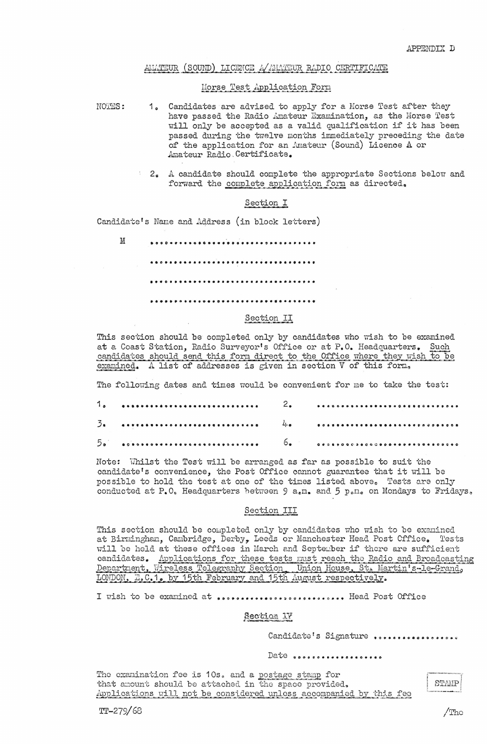## AMATEUR (SOUND) LICENCE A AMATEUR RADIO CERTIFICATE

### Morse Test Application Form

NOTES:

- **1.** Candidates are advised to apply for a Morse Test after they have passed the Radio Amateur Examination, as the Morse Test will only be accepted as a valid qualification if it has been passed during the twelve months immediately preceding the date of the application for an Amateur (Sound) Licence A or Amateur Radio Certificate.
- *2.* A candidate should complete the appropriate Sections below and forward the complete application form as directed.

## Section **I**

Candidate's Name and Address (in block letters)

M **€€€€€€€€€€€€€€€€€€€€€€€€€€ €€€€€€€€€€€€€€€€€€€€€€€€€€€€€€**  ••• ............................ .... . **€€€€€€€€€€€€€€€€€€€€€€€€€€€€€€€€€** 

### Section II

This section should be completed only by candidates who wish to be examined at a Coast Station, Radio Surveyor's Office or at P.O. Headquarters. Such candidates should send this form direct to the Office where they wish to be examined. <sup>A</sup>list of addresses is given in section V of this form.

The following dates and times would be convenient for me to take the test:

| $5\bullet$ |  |  |
|------------|--|--|

Note: Whilst the Test will be arranged as far as possible to suit the candidate's convenience, the Post Office cannot guarantee that it will be possible to hold the test at one of the times listed above. Tests are only conducted at P.O. Headquarters between 9 a.m. and 5 p.m. on Mondays to Fridays.

### Section III

This section should be completed only by candidates who wish to be examined at Birmingham, Cambridge, Derby, Leeds or Manchester Head Post Office. Tests will be held at these offices in March and September if there are sufficient candidates. Applications for these tests must reach the Radio and Broadcasting Department, Wireless Telegraphy Section, Union House, St. Martin's-le-Grand, LONDON, E.C.1. by 15th February and 15th August respectively.

I wish to be examined at ............................. Head Post Office

# Section 17

Candidate's Signature .................

Date saccessessessesses

The examination fee is 10s. and a postage stamp for that amount should be attached in the space provided. Applications will not be considered unless accompanied by this fee

r . \ STAMP